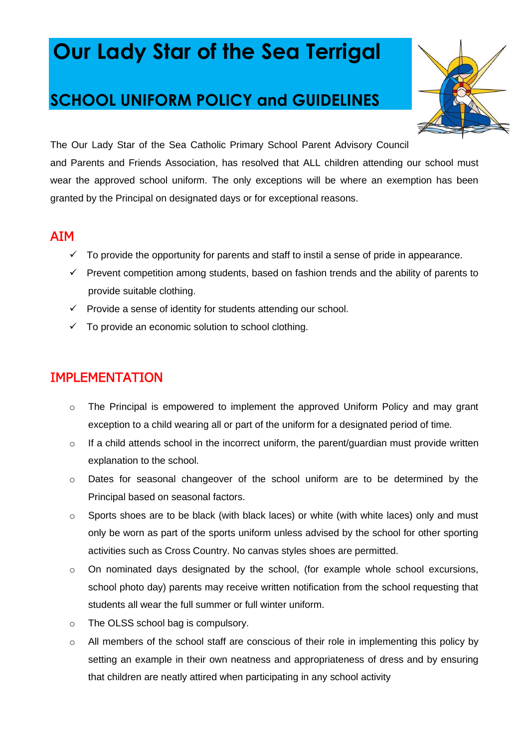# **Our Lady Star of the Sea Terrigal**

# **SCHOOL UNIFORM POLICY and GUIDELINES**



The Our Lady Star of the Sea Catholic Primary School Parent Advisory Council and Parents and Friends Association, has resolved that ALL children attending our school must wear the approved school uniform. The only exceptions will be where an exemption has been granted by the Principal on designated days or for exceptional reasons.

## AIM

- $\checkmark$  To provide the opportunity for parents and staff to instil a sense of pride in appearance.
- ✓ Prevent competition among students, based on fashion trends and the ability of parents to provide suitable clothing.
- $\checkmark$  Provide a sense of identity for students attending our school.
- $\checkmark$  To provide an economic solution to school clothing.

# IMPLEMENTATION

- $\circ$  The Principal is empowered to implement the approved Uniform Policy and may grant exception to a child wearing all or part of the uniform for a designated period of time.
- $\circ$  If a child attends school in the incorrect uniform, the parent/guardian must provide written explanation to the school.
- o Dates for seasonal changeover of the school uniform are to be determined by the Principal based on seasonal factors.
- o Sports shoes are to be black (with black laces) or white (with white laces) only and must only be worn as part of the sports uniform unless advised by the school for other sporting activities such as Cross Country. No canvas styles shoes are permitted.
- o On nominated days designated by the school, (for example whole school excursions, school photo day) parents may receive written notification from the school requesting that students all wear the full summer or full winter uniform.
- o The OLSS school bag is compulsory.
- o All members of the school staff are conscious of their role in implementing this policy by setting an example in their own neatness and appropriateness of dress and by ensuring that children are neatly attired when participating in any school activity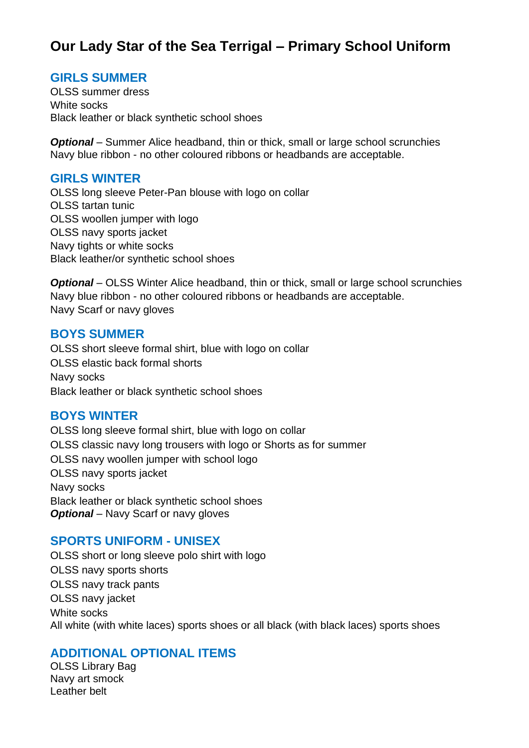# **Our Lady Star of the Sea Terrigal – Primary School Uniform**

#### **GIRLS SUMMER**

OLSS summer dress White socks Black leather or black synthetic school shoes

*Optional* – Summer Alice headband, thin or thick, small or large school scrunchies Navy blue ribbon - no other coloured ribbons or headbands are acceptable.

#### **GIRLS WINTER**

OLSS long sleeve Peter-Pan blouse with logo on collar OLSS tartan tunic OLSS woollen jumper with logo OLSS navy sports jacket Navy tights or white socks Black leather/or synthetic school shoes

**Optional** – OLSS Winter Alice headband, thin or thick, small or large school scrunchies Navy blue ribbon - no other coloured ribbons or headbands are acceptable. Navy Scarf or navy gloves

#### **BOYS SUMMER**

OLSS short sleeve formal shirt, blue with logo on collar OLSS elastic back formal shorts Navy socks Black leather or black synthetic school shoes

#### **BOYS WINTER**

OLSS long sleeve formal shirt, blue with logo on collar OLSS classic navy long trousers with logo or Shorts as for summer OLSS navy woollen jumper with school logo OLSS navy sports jacket Navy socks Black leather or black synthetic school shoes *Optional* – Navy Scarf or navy gloves

#### **SPORTS UNIFORM - UNISEX**

OLSS short or long sleeve polo shirt with logo OLSS navy sports shorts OLSS navy track pants OLSS navy jacket White socks All white (with white laces) sports shoes or all black (with black laces) sports shoes

#### **ADDITIONAL OPTIONAL ITEMS**

OLSS Library Bag Navy art smock Leather belt